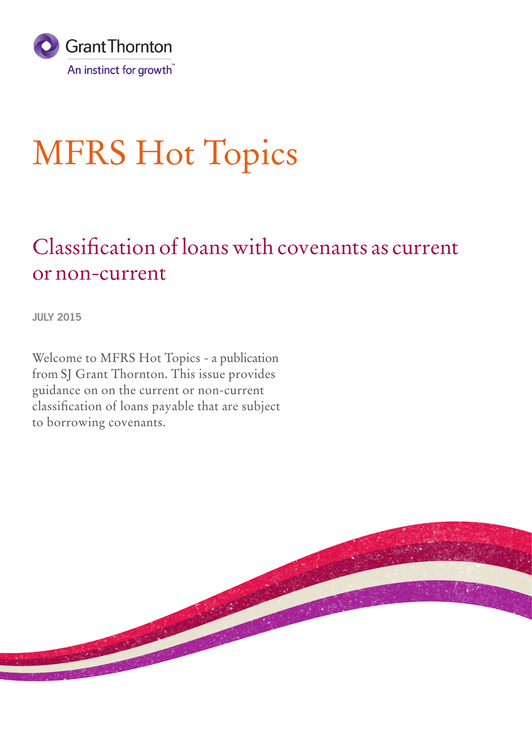

# MFRS Hot Topics

### Classification of loans with covenants as current or non-current

**JULY 2015**

Welcome to MFRS Hot Topics - a publication from SJ Grant Thornton. This issue provides guidance on on the current or non-current classification of loans payable that are subject to borrowing covenants.

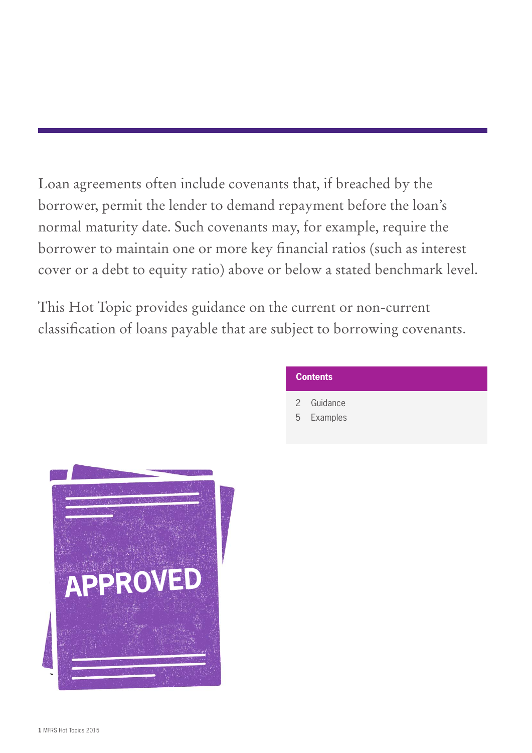Loan agreements often include covenants that, if breached by the borrower, permit the lender to demand repayment before the loan's normal maturity date. Such covenants may, for example, require the borrower to maintain one or more key financial ratios (such as interest cover or a debt to equity ratio) above or below a stated benchmark level.

This Hot Topic provides guidance on the current or non-current classification of loans payable that are subject to borrowing covenants.

#### **Contents**

- 2 Guidance
- 5 Examples

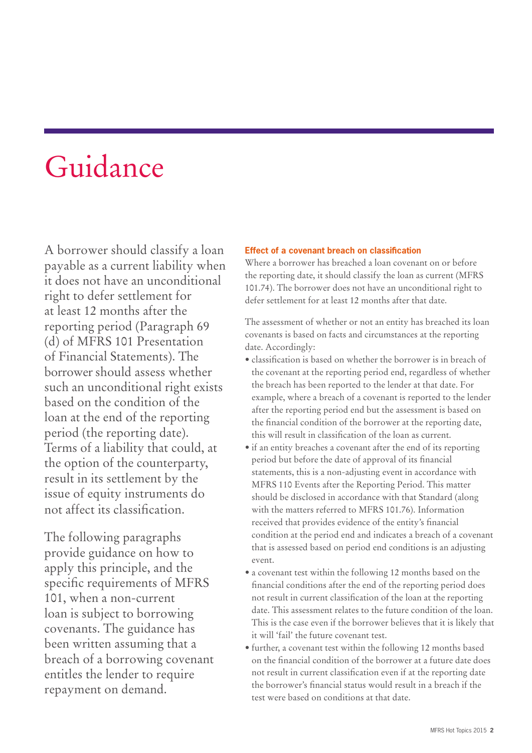## Guidance

A borrower should classify a loan payable as a current liability when it does not have an unconditional right to defer settlement for at least 12 months after the reporting period (Paragraph 69 (d) of MFRS 101 Presentation of Financial Statements). The borrower should assess whether such an unconditional right exists based on the condition of the loan at the end of the reporting period (the reporting date). Terms of a liability that could, at the option of the counterparty, result in its settlement by the issue of equity instruments do not affect its classification.

The following paragraphs provide guidance on how to apply this principle, and the specific requirements of MFRS 101, when a non-current loan is subject to borrowing covenants. The guidance has been written assuming that a breach of a borrowing covenant entitles the lender to require repayment on demand.

#### **Effect of a covenant breach on classification**

Where a borrower has breached a loan covenant on or before the reporting date, it should classify the loan as current (MFRS 101.74). The borrower does not have an unconditional right to defer settlement for at least 12 months after that date.

The assessment of whether or not an entity has breached its loan covenants is based on facts and circumstances at the reporting date. Accordingly:

- classification is based on whether the borrower is in breach of the covenant at the reporting period end, regardless of whether the breach has been reported to the lender at that date. For example, where a breach of a covenant is reported to the lender after the reporting period end but the assessment is based on the financial condition of the borrower at the reporting date, this will result in classification of the loan as current.
- if an entity breaches a covenant after the end of its reporting period but before the date of approval of its financial statements, this is a non-adjusting event in accordance with MFRS 110 Events after the Reporting Period. This matter should be disclosed in accordance with that Standard (along with the matters referred to MFRS 101.76). Information received that provides evidence of the entity's financial condition at the period end and indicates a breach of a covenant that is assessed based on period end conditions is an adjusting event.
- a covenant test within the following 12 months based on the financial conditions after the end of the reporting period does not result in current classification of the loan at the reporting date. This assessment relates to the future condition of the loan. This is the case even if the borrower believes that it is likely that it will 'fail' the future covenant test.
- further, a covenant test within the following 12 months based on the financial condition of the borrower at a future date does not result in current classification even if at the reporting date the borrower's financial status would result in a breach if the test were based on conditions at that date.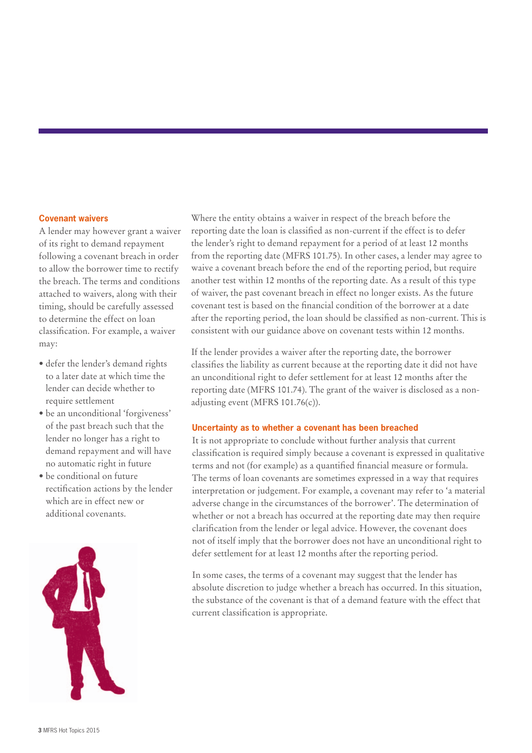#### **Covenant waivers**

A lender may however grant a waiver of its right to demand repayment following a covenant breach in order to allow the borrower time to rectify the breach. The terms and conditions attached to waivers, along with their timing, should be carefully assessed to determine the effect on loan classification. For example, a waiver may:

- defer the lender's demand rights to a later date at which time the lender can decide whether to require settlement
- be an unconditional 'forgiveness' of the past breach such that the lender no longer has a right to demand repayment and will have no automatic right in future
- be conditional on future rectification actions by the lender which are in effect new or additional covenants.



Where the entity obtains a waiver in respect of the breach before the reporting date the loan is classified as non-current if the effect is to defer the lender's right to demand repayment for a period of at least 12 months from the reporting date (MFRS 101.75). In other cases, a lender may agree to waive a covenant breach before the end of the reporting period, but require another test within 12 months of the reporting date. As a result of this type of waiver, the past covenant breach in effect no longer exists. As the future covenant test is based on the financial condition of the borrower at a date after the reporting period, the loan should be classified as non-current. This is consistent with our guidance above on covenant tests within 12 months.

If the lender provides a waiver after the reporting date, the borrower classifies the liability as current because at the reporting date it did not have an unconditional right to defer settlement for at least 12 months after the reporting date (MFRS 101.74). The grant of the waiver is disclosed as a nonadjusting event (MFRS 101.76(c)).

#### **Uncertainty as to whether a covenant has been breached**

It is not appropriate to conclude without further analysis that current classification is required simply because a covenant is expressed in qualitative terms and not (for example) as a quantified financial measure or formula. The terms of loan covenants are sometimes expressed in a way that requires interpretation or judgement. For example, a covenant may refer to 'a material adverse change in the circumstances of the borrower'. The determination of whether or not a breach has occurred at the reporting date may then require clarification from the lender or legal advice. However, the covenant does not of itself imply that the borrower does not have an unconditional right to defer settlement for at least 12 months after the reporting period.

In some cases, the terms of a covenant may suggest that the lender has absolute discretion to judge whether a breach has occurred. In this situation, the substance of the covenant is that of a demand feature with the effect that current classification is appropriate.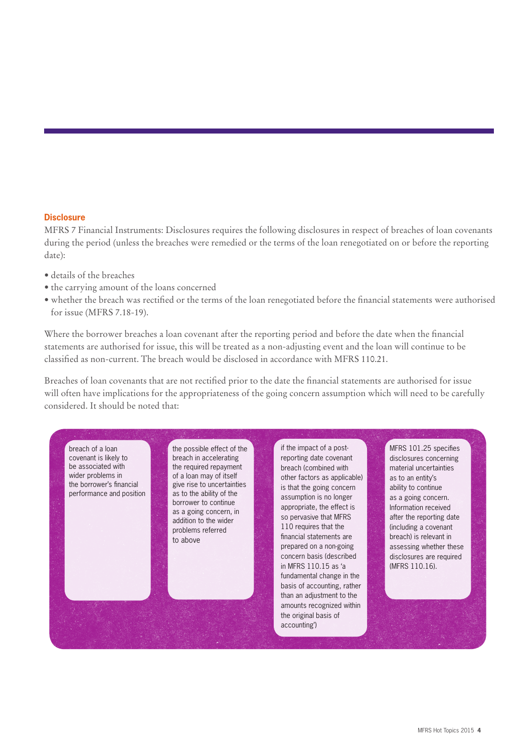#### **Disclosure**

MFRS 7 Financial Instruments: Disclosures requires the following disclosures in respect of breaches of loan covenants during the period (unless the breaches were remedied or the terms of the loan renegotiated on or before the reporting date):

- details of the breaches
- the carrying amount of the loans concerned
- whether the breach was rectified or the terms of the loan renegotiated before the financial statements were authorised for issue (MFRS 7.18-19).

Where the borrower breaches a loan covenant after the reporting period and before the date when the financial statements are authorised for issue, this will be treated as a non-adjusting event and the loan will continue to be classified as non-current. The breach would be disclosed in accordance with MFRS 110.21.

Breaches of loan covenants that are not rectified prior to the date the financial statements are authorised for issue will often have implications for the appropriateness of the going concern assumption which will need to be carefully considered. It should be noted that:

breach of a loan covenant is likely to be associated with wider problems in the borrower's financial performance and position the possible effect of the breach in accelerating the required repayment of a loan may of itself give rise to uncertainties as to the ability of the borrower to continue as a going concern, in addition to the wider problems referred to above

if the impact of a postreporting date covenant breach (combined with other factors as applicable) is that the going concern assumption is no longer appropriate, the effect is so pervasive that MFRS 110 requires that the financial statements are prepared on a non-going concern basis (described in MFRS 110.15 as 'a fundamental change in the basis of accounting, rather than an adjustment to the amounts recognized within the original basis of accounting')

MFRS 101.25 specifies disclosures concerning material uncertainties as to an entity's ability to continue as a going concern. Information received after the reporting date (including a covenant breach) is relevant in assessing whether these disclosures are required (MFRS 110.16).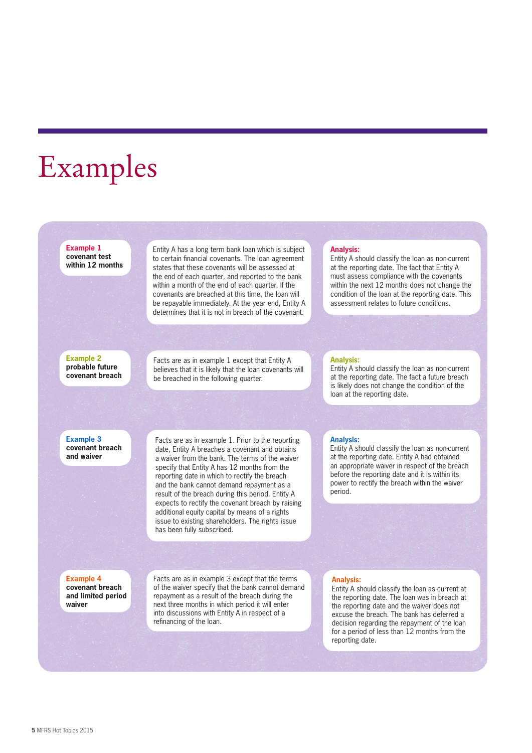### Examples

**Example 1 covenant test within 12 months**  Entity A has a long term bank loan which is subject to certain financial covenants. The loan agreement states that these covenants will be assessed at the end of each quarter, and reported to the bank within a month of the end of each quarter. If the covenants are breached at this time, the loan will be repayable immediately. At the year end, Entity A determines that it is not in breach of the covenant.

Facts are as in example 1 except that Entity A believes that it is likely that the loan covenants will be breached in the following quarter.

#### **Analysis:**

Entity A should classify the loan as non-current at the reporting date. The fact that Entity A must assess compliance with the covenants within the next 12 months does not change the condition of the loan at the reporting date. This assessment relates to future conditions.

#### **Analysis:**

Entity A should classify the loan as non-current at the reporting date. The fact a future breach is likely does not change the condition of the loan at the reporting date.

**Example 3 covenant breach and waiver**

**Example 2 probable future covenant breach** 

> Facts are as in example 1. Prior to the reporting date, Entity A breaches a covenant and obtains a waiver from the bank. The terms of the waiver specify that Entity A has 12 months from the reporting date in which to rectify the breach and the bank cannot demand repayment as a result of the breach during this period. Entity A expects to rectify the covenant breach by raising additional equity capital by means of a rights issue to existing shareholders. The rights issue has been fully subscribed.

#### **Analysis:**

Entity A should classify the loan as non-current at the reporting date. Entity A had obtained an appropriate waiver in respect of the breach before the reporting date and it is within its power to rectify the breach within the waiver period.

#### **Example 4 covenant breach and limited period waiver**

Facts are as in example 3 except that the terms of the waiver specify that the bank cannot demand repayment as a result of the breach during the next three months in which period it will enter into discussions with Entity A in respect of a refinancing of the loan.

#### **Analysis:**

Entity A should classify the loan as current at the reporting date. The loan was in breach at the reporting date and the waiver does not excuse the breach. The bank has deferred a decision regarding the repayment of the loan for a period of less than 12 months from the reporting date.